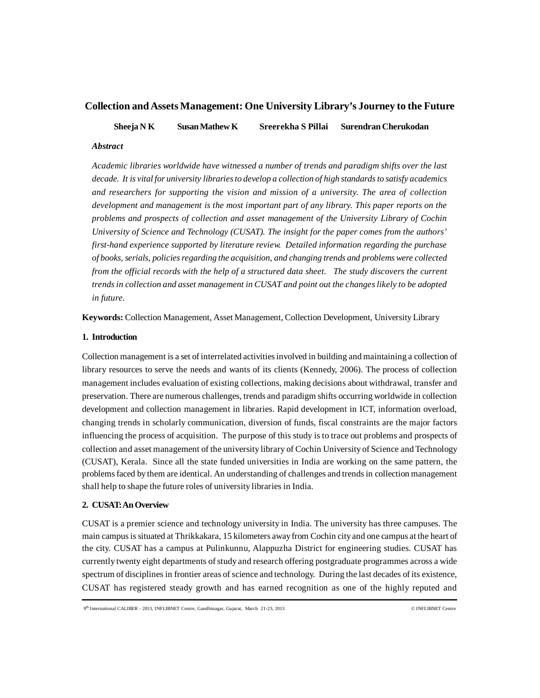# **Collection and Assets Management: One University Library's Journey to the Future**

**Sheeja N K** Susan Mathew K Sreerekha S Pillai Surendran Cherukodan

## *Abstract*

*Academic libraries worldwide have witnessed a number of trends and paradigm shifts over the last decade. It is vital for university libraries to develop a collection of high standards to satisfy academics and researchers for supporting the vision and mission of a university. The area of collection development and management is the most important part of any library. This paper reports on the problems and prospects of collection and asset management of the University Library of Cochin University of Science and Technology (CUSAT). The insight for the paper comes from the authors' first-hand experience supported by literature review. Detailed information regarding the purchase of books, serials, policies regarding the acquisition, and changing trends and problems were collected from the official records with the help of a structured data sheet. The study discovers the current trends in collection and asset management in CUSAT and point out the changes likely to be adopted in future.*

**Keywords:** Collection Management, Asset Management, Collection Development, University Library

## **1. Introduction**

Collection management is a set of interrelated activities involved in building and maintaining a collection of library resources to serve the needs and wants of its clients (Kennedy, 2006). The process of collection management includes evaluation of existing collections, making decisions about withdrawal, transfer and preservation. There are numerous challenges, trends and paradigm shifts occurring worldwide in collection development and collection management in libraries. Rapid development in ICT, information overload, changing trends in scholarly communication, diversion of funds, fiscal constraints are the major factors influencing the process of acquisition. The purpose of this study is to trace out problems and prospects of collection and asset management of the university library of Cochin University of Science and Technology (CUSAT), Kerala. Since all the state funded universities in India are working on the same pattern, the problems faced by them are identical. An understanding of challenges and trends in collection management shall help to shape the future roles of university libraries in India.

## **2. CUSAT: An Overview**

CUSAT is a premier science and technology university in India. The university has three campuses. The main campus is situated at Thrikkakara, 15 kilometers away from Cochin city and one campus at the heart of the city. CUSAT has a campus at Pulinkunnu, Alappuzha District for engineering studies. CUSAT has currently twenty eight departments of study and research offering postgraduate programmes across a wide spectrum of disciplines in frontier areas of science and technology. During the last decades of its existence, CUSAT has registered steady growth and has earned recognition as one of the highly reputed and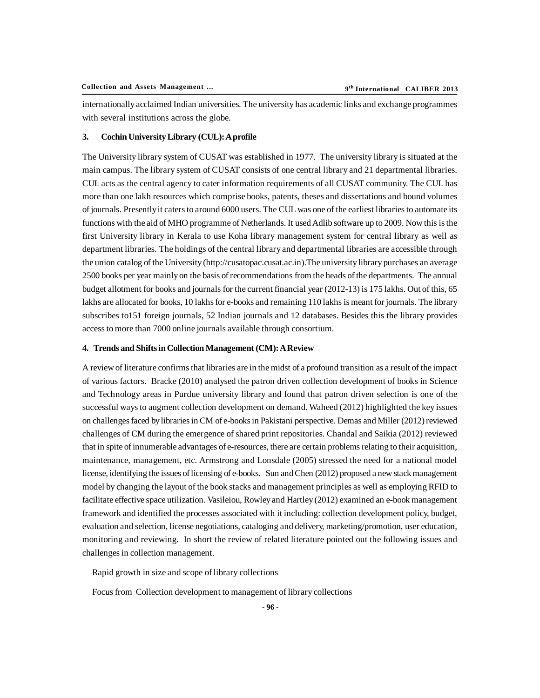internationally acclaimed Indian universities. The university has academic links and exchange programmes with several institutions across the globe.

#### **3. Cochin University Library (CUL): A profile**

The University library system of CUSAT was established in 1977. The university library is situated at the main campus. The library system of CUSAT consists of one central library and 21 departmental libraries. CUL acts as the central agency to cater information requirements of all CUSAT community. The CUL has more than one lakh resources which comprise books, patents, theses and dissertations and bound volumes of journals. Presently it caters to around 6000 users. The CUL was one of the earliest libraries to automate its functions with the aid of MHO programme of Netherlands. It used Adlib software up to 2009. Now this is the first University library in Kerala to use Koha library management system for central library as well as department libraries. The holdings of the central library and departmental libraries are accessible through the union catalog of the University (http://cusatopac.cusat.ac.in).The university library purchases an average 2500 books per year mainly on the basis of recommendations from the heads of the departments. The annual budget allotment for books and journals for the current financial year (2012-13) is 175 lakhs. Out of this, 65 lakhs are allocated for books, 10 lakhs for e-books and remaining 110 lakhs is meant for journals. The library subscribes to151 foreign journals, 52 Indian journals and 12 databases. Besides this the library provides access to more than 7000 online journals available through consortium.

#### **4. Trends and Shifts in Collection Management (CM): A Review**

A review of literature confirms that libraries are in the midst of a profound transition as a result of the impact of various factors. Bracke (2010) analysed the patron driven collection development of books in Science and Technology areas in Purdue university library and found that patron driven selection is one of the successful ways to augment collection development on demand. Waheed (2012) highlighted the key issues on challenges faced by libraries in CM of e-books in Pakistani perspective. Demas and Miller (2012) reviewed challenges of CM during the emergence of shared print repositories. Chandal and Saikia (2012) reviewed that in spite of innumerable advantages of e-resources, there are certain problems relating to their acquisition, maintenance, management, etc. Armstrong and Lonsdale (2005) stressed the need for a national model license, identifying the issues of licensing of e-books. Sun and Chen (2012) proposed a new stack management model by changing the layout of the book stacks and management principles as well as employing RFID to facilitate effective space utilization. Vasileiou, Rowley and Hartley (2012) examined an e-book management framework and identified the processes associated with it including: collection development policy, budget, evaluation and selection, license negotiations, cataloging and delivery, marketing/promotion, user education, monitoring and reviewing. In short the review of related literature pointed out the following issues and challenges in collection management.

Rapid growth in size and scope of library collections

Focus from Collection development to management of library collections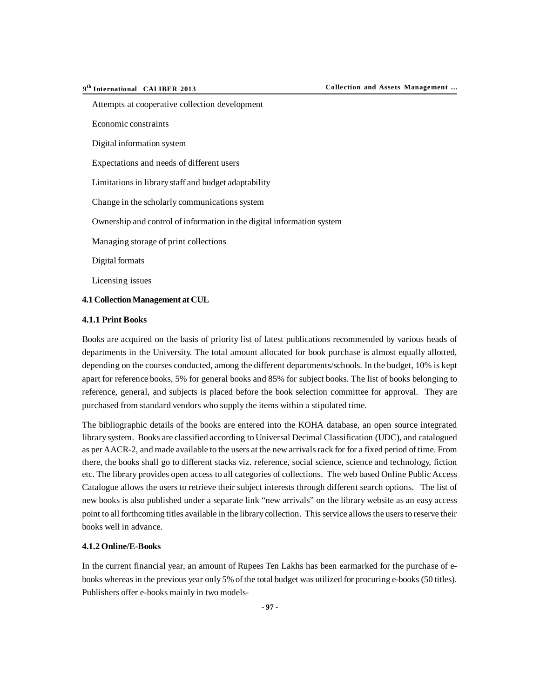Attempts at cooperative collection development

Economic constraints

Digital information system

Expectations and needs of different users

Limitations in library staff and budget adaptability

Change in the scholarly communications system

Ownership and control of information in the digital information system

Managing storage of print collections

Digital formats

Licensing issues

#### **4.1 Collection Management at CUL**

### **4.1.1 Print Books**

Books are acquired on the basis of priority list of latest publications recommended by various heads of departments in the University. The total amount allocated for book purchase is almost equally allotted, depending on the courses conducted, among the different departments/schools. In the budget, 10% is kept apart for reference books, 5% for general books and 85% for subject books. The list of books belonging to reference, general, and subjects is placed before the book selection committee for approval. They are purchased from standard vendors who supply the items within a stipulated time.

The bibliographic details of the books are entered into the KOHA database, an open source integrated library system. Books are classified according to Universal Decimal Classification (UDC), and catalogued as per AACR-2, and made available to the users at the new arrivals rack for for a fixed period of time. From there, the books shall go to different stacks viz. reference, social science, science and technology, fiction etc. The library provides open access to all categories of collections. The web based Online Public Access Catalogue allows the users to retrieve their subject interests through different search options. The list of new books is also published under a separate link "new arrivals" on the library website as an easy access point to all forthcoming titles available in the library collection. This service allows the users to reserve their books well in advance.

#### **4.1.2 Online/E-Books**

In the current financial year, an amount of Rupees Ten Lakhs has been earmarked for the purchase of ebooks whereas in the previous year only 5% of the total budget was utilized for procuring e-books (50 titles). Publishers offer e-books mainly in two models-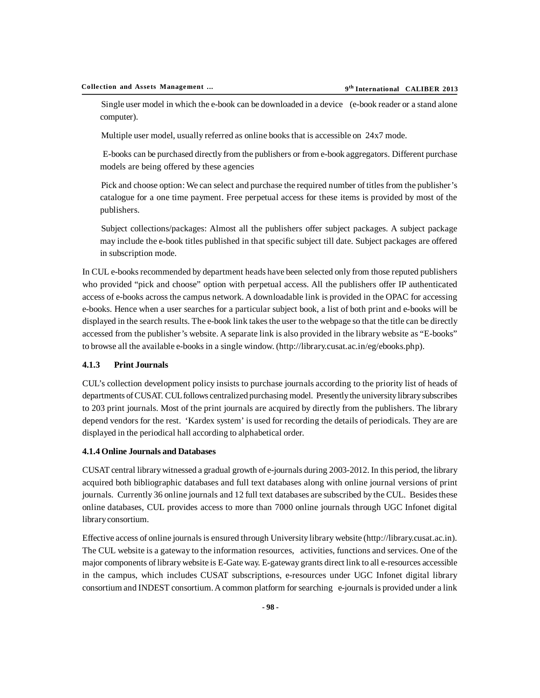Single user model in which the e-book can be downloaded in a device (e-book reader or a stand alone computer).

Multiple user model, usually referred as online books that is accessible on 24x7 mode.

 E-books can be purchased directly from the publishers or from e-book aggregators. Different purchase models are being offered by these agencies

Pick and choose option: We can select and purchase the required number of titles from the publisher's catalogue for a one time payment. Free perpetual access for these items is provided by most of the publishers.

Subject collections/packages: Almost all the publishers offer subject packages. A subject package may include the e-book titles published in that specific subject till date. Subject packages are offered in subscription mode.

In CUL e-books recommended by department heads have been selected only from those reputed publishers who provided "pick and choose" option with perpetual access. All the publishers offer IP authenticated access of e-books across the campus network. A downloadable link is provided in the OPAC for accessing e-books. Hence when a user searches for a particular subject book, a list of both print and e-books will be displayed in the search results. The e-book link takes the user to the webpage so that the title can be directly accessed from the publisher's website. A separate link is also provided in the library website as "E-books" to browse all the available e-books in a single window. (http://library.cusat.ac.in/eg/ebooks.php).

#### **4.1.3 Print Journals**

CUL's collection development policy insists to purchase journals according to the priority list of heads of departments of CUSAT. CUL follows centralized purchasing model. Presently the university library subscribes to 203 print journals. Most of the print journals are acquired by directly from the publishers. The library depend vendors for the rest. 'Kardex system' is used for recording the details of periodicals. They are are displayed in the periodical hall according to alphabetical order.

#### **4.1.4 Online Journals and Databases**

CUSAT central library witnessed a gradual growth of e-journals during 2003-2012. In this period, the library acquired both bibliographic databases and full text databases along with online journal versions of print journals. Currently 36 online journals and 12 full text databases are subscribed by the CUL. Besides these online databases, CUL provides access to more than 7000 online journals through UGC Infonet digital library consortium.

Effective access of online journals is ensured through University library website (http://library.cusat.ac.in). The CUL website is a gateway to the information resources, activities, functions and services. One of the major components of library website is E-Gate way. E-gateway grants direct link to all e-resources accessible in the campus, which includes CUSAT subscriptions, e-resources under UGC Infonet digital library consortium and INDEST consortium. A common platform for searching  $e$ -journals is provided under a link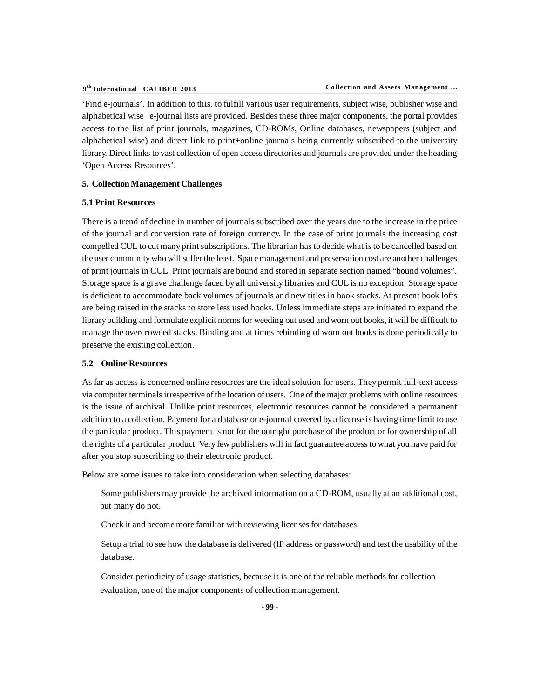'Find e-journals'. In addition to this, to fulfill various user requirements, subject wise, publisher wise and alphabetical wise e-journal lists are provided. Besides these three major components, the portal provides access to the list of print journals, magazines, CD-ROMs, Online databases, newspapers (subject and alphabetical wise) and direct link to print+online journals being currently subscribed to the university library. Direct links to vast collection of open access directories and journals are provided under the heading 'Open Access Resources'.

## **5. Collection Management Challenges**

### **5.1 Print Resources**

There is a trend of decline in number of journals subscribed over the years due to the increase in the price of the journal and conversion rate of foreign currency. In the case of print journals the increasing cost compelled CUL to cut many print subscriptions. The librarian has to decide what is to be cancelled based on the user community who will suffer the least. Space management and preservation cost are another challenges of print journals in CUL. Print journals are bound and stored in separate section named "bound volumes". Storage space is a grave challenge faced by all university libraries and CUL is no exception. Storage space is deficient to accommodate back volumes of journals and new titles in book stacks. At present book lofts are being raised in the stacks to store less used books. Unless immediate steps are initiated to expand the library building and formulate explicit norms for weeding out used and worn out books, it will be difficult to manage the overcrowded stacks. Binding and at times rebinding of worn out books is done periodically to preserve the existing collection.

### **5.2 Online Resources**

As far as access is concerned online resources are the ideal solution for users. They permit full-text access via computer terminals irrespective of the location of users. One of the major problems with online resources is the issue of archival. Unlike print resources, electronic resources cannot be considered a permanent addition to a collection. Payment for a database or e-journal covered by a license is having time limit to use the particular product. This payment is not for the outright purchase of the product or for ownership of all the rights of a particular product. Very few publishers will in fact guarantee access to what you have paid for after you stop subscribing to their electronic product.

Below are some issues to take into consideration when selecting databases:

Some publishers may provide the archived information on a CD-ROM, usually at an additional cost, but many do not.

Check it and become more familiar with reviewing licenses for databases.

Setup a trial to see how the database is delivered (IP address or password) and test the usability of the database.

Consider periodicity of usage statistics, because it is one of the reliable methods for collection evaluation, one of the major components of collection management.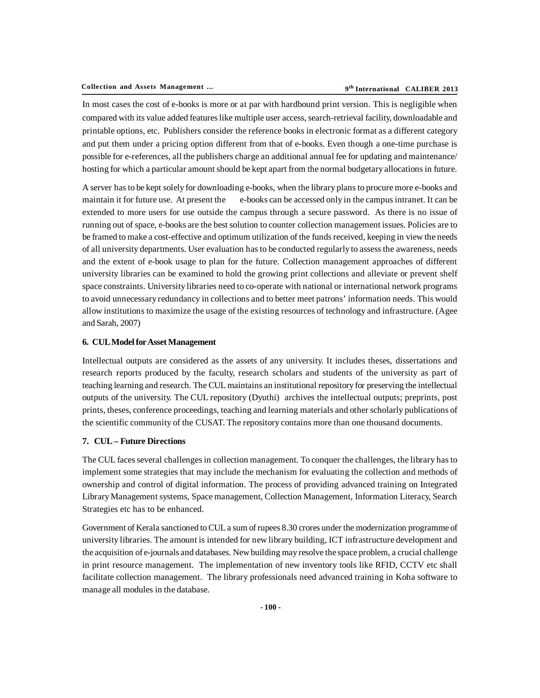In most cases the cost of e-books is more or at par with hardbound print version. This is negligible when compared with its value added features like multiple user access, search-retrieval facility, downloadable and printable options, etc. Publishers consider the reference books in electronic format as a different category and put them under a pricing option different from that of e-books. Even though a one-time purchase is possible for e-references, all the publishers charge an additional annual fee for updating and maintenance/ hosting for which a particular amount should be kept apart from the normal budgetary allocations in future.

A server has to be kept solely for downloading e-books, when the library plans to procure more e-books and maintain it for future use. At present the e-books can be accessed only in the campus intranet. It can be extended to more users for use outside the campus through a secure password. As there is no issue of running out of space, e-books are the best solution to counter collection management issues. Policies are to be framed to make a cost-effective and optimum utilization of the funds received, keeping in view the needs of all university departments. User evaluation has to be conducted regularly to assess the awareness, needs and the extent of e-book usage to plan for the future. Collection management approaches of different university libraries can be examined to hold the growing print collections and alleviate or prevent shelf space constraints. University libraries need to co-operate with national or international network programs to avoid unnecessary redundancy in collections and to better meet patrons' information needs. This would allow institutions to maximize the usage of the existing resources of technology and infrastructure. (Agee and Sarah, 2007)

#### **6. CUL Model for Asset Management**

Intellectual outputs are considered as the assets of any university. It includes theses, dissertations and research reports produced by the faculty, research scholars and students of the university as part of teaching learning and research. The CUL maintains an institutional repository for preserving the intellectual outputs of the university. The CUL repository (Dyuthi) archives the intellectual outputs; preprints, post prints, theses, conference proceedings, teaching and learning materials and other scholarly publications of the scientific community of the CUSAT. The repository contains more than one thousand documents.

#### **7. CUL – Future Directions**

The CUL faces several challenges in collection management. To conquer the challenges, the library has to implement some strategies that may include the mechanism for evaluating the collection and methods of ownership and control of digital information. The process of providing advanced training on Integrated Library Management systems, Space management, Collection Management, Information Literacy, Search Strategies etc has to be enhanced.

Government of Kerala sanctioned to CUL a sum of rupees 8.30 crores under the modernization programme of university libraries. The amount is intended for new library building, ICT infrastructure development and the acquisition of e-journals and databases. New building may resolve the space problem, a crucial challenge in print resource management. The implementation of new inventory tools like RFID, CCTV etc shall facilitate collection management. The library professionals need advanced training in Koha software to manage all modules in the database.